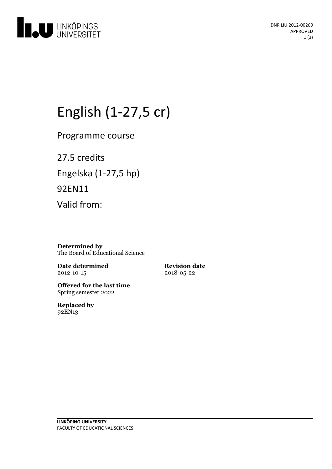

# English (1-27,5 cr)

Programme course

27.5 credits Engelska(1-27,5 hp) 92EN11 Valid from:

**Determined by** The Board of Educational Science

**Date determined** 2012-10-15

**Revision date** 2018-05-22

**Offered for the last time** Spring semester 2022

**Replaced by** 92EN13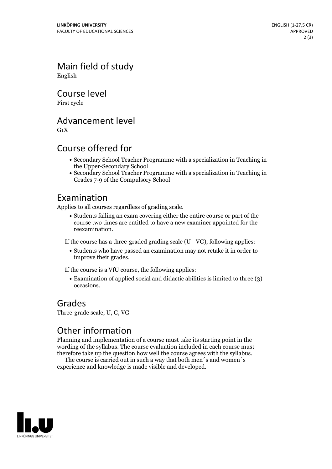Main field of study English

Course level

First cycle

#### Advancement level

 $G_1X$ 

### Course offered for

- Secondary School Teacher Programme with a specialization in Teaching in the Upper-Secondary School
- Secondary School Teacher Programme with a specialization in Teaching in Grades 7-9 of the Compulsory School

#### Examination

Applies to all courses regardless of grading scale.

Students failing an exam covering either the entire course or part of the course two times are entitled to have a new examiner appointed for the reexamination.

If the course has a three-graded grading scale (U - VG), following applies:

Students who have passed an examination may not retake it in order to improve their grades.

If the course is a VfU course, the following applies:

Examination of applied social and didactic abilities is limited to three (3) occasions.

#### Grades

Three-grade scale, U, G, VG

## Other information

Planning and implementation of a course must take its starting point in the wording of the syllabus. The course evaluation included in each course must therefore take up the question how well the course agrees with the syllabus. The course is carried outin such <sup>a</sup> way that both men´s and women´s

experience and knowledge is made visible and developed.